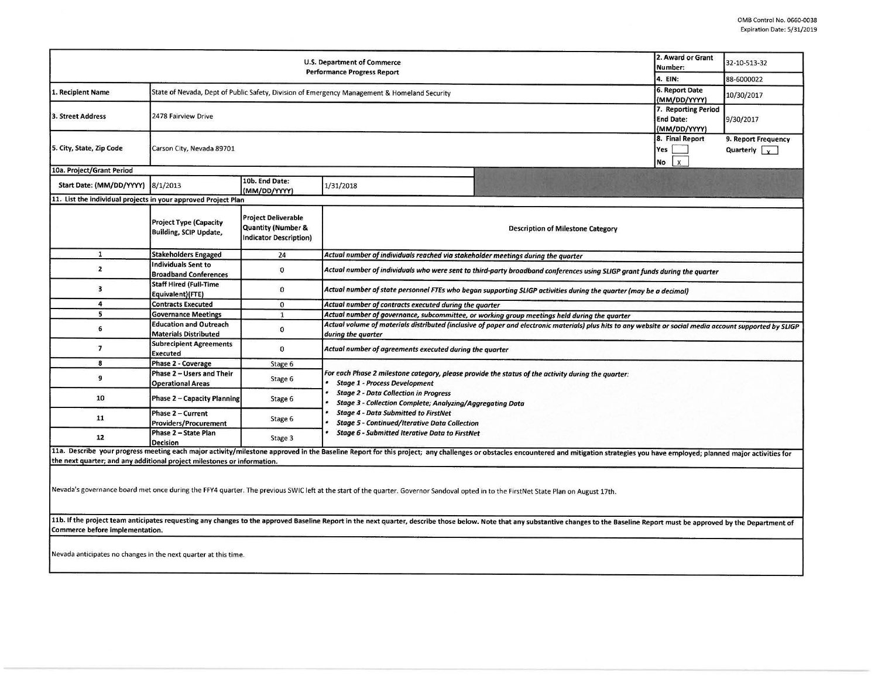| 2. Award or Grant<br>U.S. Department of Commerce<br>Number:<br><b>Performance Progress Report</b><br>4. EIN: |                                                                                                                                |                                                                                              |                                                                                                                                                                                                                                                                                                                                                                       |  | 32-10-513-32 |  |  |  |  |
|--------------------------------------------------------------------------------------------------------------|--------------------------------------------------------------------------------------------------------------------------------|----------------------------------------------------------------------------------------------|-----------------------------------------------------------------------------------------------------------------------------------------------------------------------------------------------------------------------------------------------------------------------------------------------------------------------------------------------------------------------|--|--------------|--|--|--|--|
|                                                                                                              |                                                                                                                                |                                                                                              |                                                                                                                                                                                                                                                                                                                                                                       |  | 88-6000022   |  |  |  |  |
| 1. Recipient Name                                                                                            | 6. Report Date<br>State of Nevada, Dept of Public Safety, Division of Emergency Management & Homeland Security<br>(MM/DD/YYYY) |                                                                                              |                                                                                                                                                                                                                                                                                                                                                                       |  | 10/30/2017   |  |  |  |  |
| 3. Street Address                                                                                            | 2478 Fairview Drive                                                                                                            | 7. Reporting Period<br><b>End Date:</b><br>(MM/DD/YYYY)                                      | 9/30/2017                                                                                                                                                                                                                                                                                                                                                             |  |              |  |  |  |  |
| 5. City, State, Zip Code                                                                                     | Carson City, Nevada 89701                                                                                                      | 8. Final Report<br>Yes<br>$\mathsf{x}$<br>No                                                 | 9. Report Frequency<br>Quarterly $\vert \,$ $\vert \,$                                                                                                                                                                                                                                                                                                                |  |              |  |  |  |  |
| 10a. Project/Grant Period                                                                                    |                                                                                                                                |                                                                                              |                                                                                                                                                                                                                                                                                                                                                                       |  |              |  |  |  |  |
| Start Date: (MM/DD/YYYY) 8/1/2013                                                                            |                                                                                                                                | 10b. End Date:<br>(MM/DD/YYYY)                                                               | 1/31/2018                                                                                                                                                                                                                                                                                                                                                             |  |              |  |  |  |  |
| 11. List the individual projects in your approved Project Plan                                               |                                                                                                                                |                                                                                              |                                                                                                                                                                                                                                                                                                                                                                       |  |              |  |  |  |  |
|                                                                                                              | <b>Project Type (Capacity</b><br><b>Building, SCIP Update,</b>                                                                 | <b>Project Deliverable</b><br><b>Quantity (Number &amp;</b><br><b>Indicator Description)</b> | <b>Description of Milestone Category</b>                                                                                                                                                                                                                                                                                                                              |  |              |  |  |  |  |
| $\mathbf{1}$                                                                                                 | <b>Stakeholders Engaged</b>                                                                                                    | 24                                                                                           | Actual number of individuals reached via stakeholder meetings during the quarter                                                                                                                                                                                                                                                                                      |  |              |  |  |  |  |
| $\overline{2}$                                                                                               | <b>Individuals Sent to</b><br><b>Broadband Conferences</b>                                                                     | $\mathbf 0$                                                                                  | Actual number of individuals who were sent to third-party broadband conferences using SLIGP grant funds during the quarter                                                                                                                                                                                                                                            |  |              |  |  |  |  |
| $\overline{\mathbf{3}}$                                                                                      | <b>Staff Hired (Full-Time</b><br>Equivalent)(FTE)                                                                              | $\mathbf{0}$                                                                                 | Actual number of state personnel FTEs who began supporting SLIGP activities during the quarter (may be a decimal)                                                                                                                                                                                                                                                     |  |              |  |  |  |  |
| 4                                                                                                            | <b>Contracts Executed</b>                                                                                                      | $\mathbf 0$                                                                                  | Actual number of contracts executed during the quarter                                                                                                                                                                                                                                                                                                                |  |              |  |  |  |  |
| 5                                                                                                            | <b>Governance Meetings</b>                                                                                                     | $\mathbf{1}$                                                                                 | Actual number of governance, subcommittee, or working group meetings held during the quarter                                                                                                                                                                                                                                                                          |  |              |  |  |  |  |
| 6                                                                                                            | <b>Education and Outreach</b><br><b>Materials Distributed</b>                                                                  | $\mathbf 0$                                                                                  | Actual volume of materials distributed (inclusive of paper and electronic materials) plus hits to any website or social media account supported by SLIGP<br>during the quarter                                                                                                                                                                                        |  |              |  |  |  |  |
| $\overline{\phantom{a}}$                                                                                     | <b>Subrecipient Agreements</b><br><b>Executed</b>                                                                              | $\mathbf{0}$                                                                                 | Actual number of agreements executed during the quarter                                                                                                                                                                                                                                                                                                               |  |              |  |  |  |  |
| 8                                                                                                            | Phase 2 - Coverage                                                                                                             | Stage 6                                                                                      |                                                                                                                                                                                                                                                                                                                                                                       |  |              |  |  |  |  |
| 9                                                                                                            | Phase 2 - Users and Their<br><b>Operational Areas</b>                                                                          | Stage 6                                                                                      | For each Phase 2 milestone category, please provide the status of the activity during the quarter:<br><b>Stage 1 - Process Development</b><br><b>Stage 2 - Data Collection in Progress</b><br><b>Stage 3 - Collection Complete; Analyzing/Aggregating Data</b><br><b>Stage 4 - Data Submitted to FirstNet</b><br><b>Stage 5 - Continued/Iterative Data Collection</b> |  |              |  |  |  |  |
| 10                                                                                                           | <b>Phase 2 - Capacity Planning</b>                                                                                             | Stage 6                                                                                      |                                                                                                                                                                                                                                                                                                                                                                       |  |              |  |  |  |  |
| 11                                                                                                           | Phase 2 - Current<br><b>Providers/Procurement</b>                                                                              | Stage 6                                                                                      |                                                                                                                                                                                                                                                                                                                                                                       |  |              |  |  |  |  |
| 12                                                                                                           | Phase 2 - State Plan<br><b>Decision</b>                                                                                        | Stage 3                                                                                      | <b>Stage 6 - Submitted Iterative Data to FirstNet</b>                                                                                                                                                                                                                                                                                                                 |  |              |  |  |  |  |
|                                                                                                              |                                                                                                                                |                                                                                              | 11a. Describe your progress meeting each major activity/milestone approved in the Baseline Report for this project; any challenges or obstacles encountered and mitigation strategies you have employed; planned major activit                                                                                                                                        |  |              |  |  |  |  |
| the next quarter; and any additional project milestones or information.                                      |                                                                                                                                |                                                                                              |                                                                                                                                                                                                                                                                                                                                                                       |  |              |  |  |  |  |
|                                                                                                              |                                                                                                                                |                                                                                              | Nevada's governance board met once during the FFY4 quarter. The previous SWIC left at the start of the quarter. Governor Sandoval opted in to the FirstNet State Plan on August 17th.                                                                                                                                                                                 |  |              |  |  |  |  |

11b. If the project team anticipates requesting any changes to the approved Baseline Report in the next quarter, describe those below. Note that any substantive changes to the Baseline Report must be approved by the Depart Commerce before implementation.

Nevada anticipates no changes in the next quarter at this time.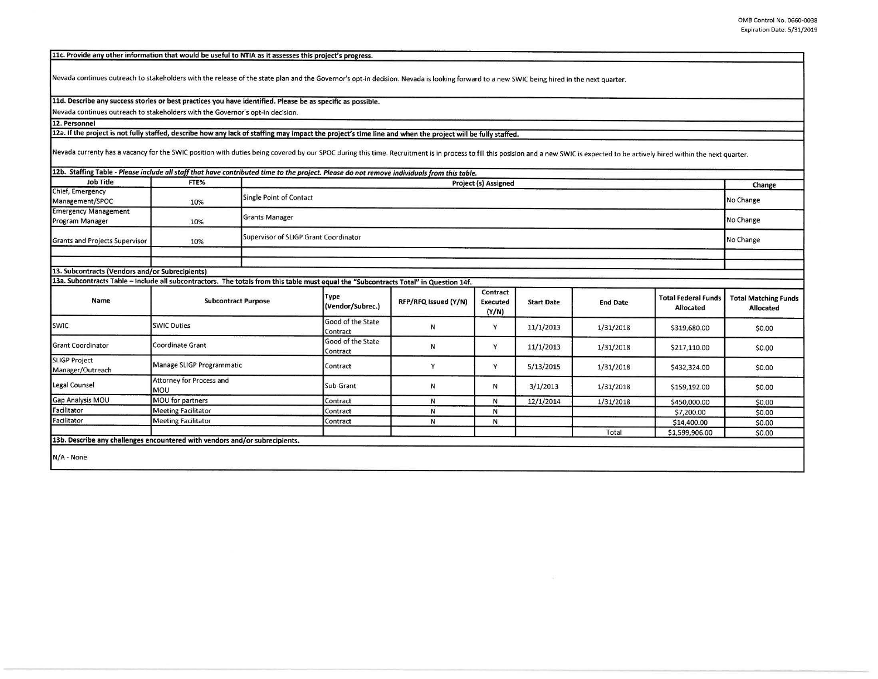11c. Provide any other information that would be useful to NTIA as it assesses this project's progress.

Nevada continues outreach to stakeholders with the release of the state plan and the Governor's opt-in decision. Nevada is looking forward to a new SWIC being hired in the next quarter.

## **lld. Describe any success stories or best practices you have identified. Please be as specific as possible.**

Nevada continues outreach to stakeholders with the Governor's opt-in decision.

**12. Personnel** 

## **12a. If the proiect is not fully staffed, describe how any lack of staffine may impact the proiect's time line and when the project will be fully staffed.**

Nevada currenty has a vacancy for the SWIC position with duties being covered by our SPOC during this time. Recruitment is in process to fill this posision and a new SWIC is expected to be actively hired within the next qu

## 12b. Staffing Table - Please include all staff that have contributed time to the project. Please do not remove individuals from this table.

| Job Title                                                                                                                             | FTE%                                   | Project (s) Assigned                  |                               |                      |                                      |                   |                 |                                         | Change                                   |
|---------------------------------------------------------------------------------------------------------------------------------------|----------------------------------------|---------------------------------------|-------------------------------|----------------------|--------------------------------------|-------------------|-----------------|-----------------------------------------|------------------------------------------|
| Chief, Emergency<br>Management/SPOC                                                                                                   | 10%                                    | <b>Single Point of Contact</b>        |                               |                      |                                      |                   |                 |                                         | No Change                                |
| <b>Emergency Management</b><br>Program Manager                                                                                        | 10%                                    | <b>Grants Manager</b>                 |                               |                      |                                      |                   |                 |                                         | No Change                                |
| <b>Grants and Projects Supervisor</b>                                                                                                 | 10%                                    | Supervisor of SLIGP Grant Coordinator |                               |                      |                                      |                   |                 | No Change                               |                                          |
|                                                                                                                                       |                                        |                                       |                               |                      |                                      |                   |                 |                                         |                                          |
| 13. Subcontracts (Vendors and/or Subrecipients)                                                                                       |                                        |                                       |                               |                      |                                      |                   |                 |                                         |                                          |
| 13a. Subcontracts Table - Include all subcontractors. The totals from this table must equal the "Subcontracts Total" in Question 14f. |                                        |                                       |                               |                      |                                      |                   |                 |                                         |                                          |
| Name                                                                                                                                  | <b>Subcontract Purpose</b>             |                                       | Type<br>(Vendor/Subrec.)      | RFP/RFQ Issued (Y/N) | Contract<br><b>Executed</b><br>(Y/N) | <b>Start Date</b> | <b>End Date</b> | <b>Total Federal Funds</b><br>Allocated | <b>Total Matching Funds</b><br>Allocated |
| <b>SWIC</b>                                                                                                                           | <b>SWIC Duties</b>                     |                                       | Good of the State<br>Contract | ${\sf N}$            | Y                                    | 11/1/2013         | 1/31/2018       | \$319,680.00                            | \$0.00                                   |
| <b>Grant Coordinator</b>                                                                                                              | Coordinate Grant                       |                                       | Good of the State<br>Contract | ${\sf N}$            | Y                                    | 11/1/2013         | 1/31/2018       | \$217,110.00                            | \$0.00                                   |
| <b>SLIGP Project</b><br>Manager/Outreach                                                                                              | Manage SLIGP Programmatic              |                                       | Contract                      | Y                    | Y                                    | 5/13/2015         | 1/31/2018       | \$432,324.00                            | \$0.00                                   |
| Legal Counsel                                                                                                                         | Attorney for Process and<br><b>MOU</b> |                                       | Sub-Grant                     | N                    | Ν                                    | 3/1/2013          | 1/31/2018       | \$159,192.00                            | \$0.00                                   |
| Gap Analysis MOU                                                                                                                      | MOU for partners                       |                                       | Contract                      | N                    | $\mathsf{N}$                         | 12/1/2014         | 1/31/2018       | \$450,000.00                            | \$0.00                                   |
| Facilitator                                                                                                                           | <b>Meeting Facilitator</b>             |                                       | Contract                      | ${\sf N}$            | N                                    |                   |                 | \$7,200.00                              | \$0.00                                   |
| Facilitator                                                                                                                           | <b>Meeting Facilitator</b>             |                                       | Contract                      | N                    | N                                    |                   |                 | \$14,400.00                             | \$0.00                                   |
|                                                                                                                                       |                                        |                                       |                               |                      |                                      |                   | Total           | \$1,599,906.00                          | \$0.00                                   |
| 13b. Describe any challenges encountered with vendors and/or subrecipients.                                                           |                                        |                                       |                               |                      |                                      |                   |                 |                                         |                                          |
| $N/A - None$                                                                                                                          |                                        |                                       |                               |                      |                                      |                   |                 |                                         |                                          |